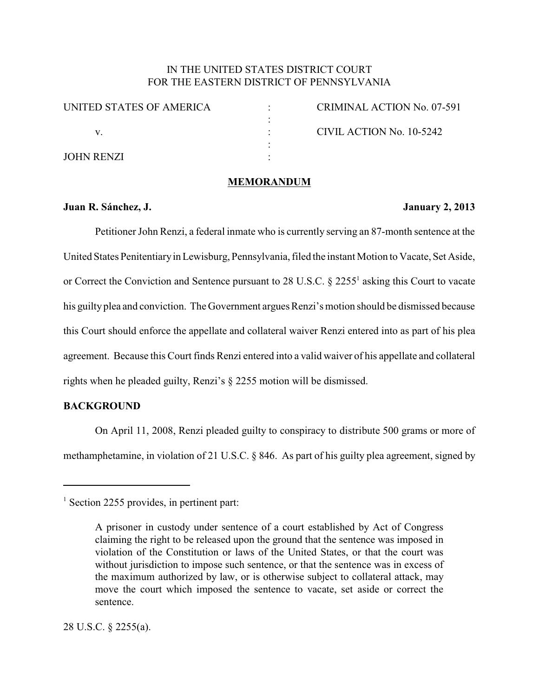## IN THE UNITED STATES DISTRICT COURT FOR THE EASTERN DISTRICT OF PENNSYLVANIA

| UNITED STATES OF AMERICA |  |
|--------------------------|--|
| V                        |  |
| <b>JOHN RENZI</b>        |  |

CRIMINAL ACTION No. 07-591 : CIVIL ACTION No. 10-5242

### **MEMORANDUM**

### **Juan R. Sánchez, J. January 2, 2013**

Petitioner John Renzi, a federal inmate who is currently serving an 87-month sentence at the United States Penitentiaryin Lewisburg, Pennsylvania, filed the instant Motion to Vacate, Set Aside, or Correct the Conviction and Sentence pursuant to 28 U.S.C.  $\S$  2255<sup>1</sup> asking this Court to vacate his guilty plea and conviction. The Government argues Renzi's motion should be dismissed because this Court should enforce the appellate and collateral waiver Renzi entered into as part of his plea agreement. Because this Court finds Renzi entered into a valid waiver of his appellate and collateral rights when he pleaded guilty, Renzi's § 2255 motion will be dismissed.

# **BACKGROUND**

On April 11, 2008, Renzi pleaded guilty to conspiracy to distribute 500 grams or more of methamphetamine, in violation of 21 U.S.C. § 846. As part of his guilty plea agreement, signed by

 $\frac{1}{1}$  Section 2255 provides, in pertinent part:

A prisoner in custody under sentence of a court established by Act of Congress claiming the right to be released upon the ground that the sentence was imposed in violation of the Constitution or laws of the United States, or that the court was without jurisdiction to impose such sentence, or that the sentence was in excess of the maximum authorized by law, or is otherwise subject to collateral attack, may move the court which imposed the sentence to vacate, set aside or correct the sentence.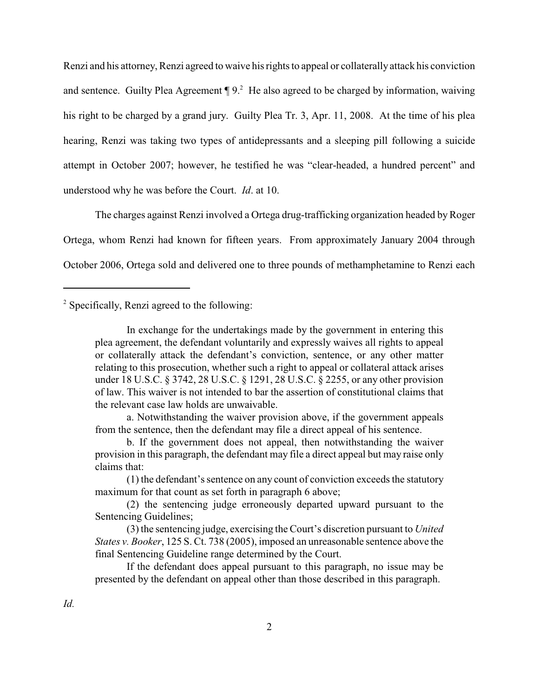Renzi and his attorney, Renzi agreed to waive his rights to appeal or collaterally attack his conviction and sentence. Guilty Plea Agreement  $\P$  9.<sup>2</sup> He also agreed to be charged by information, waiving his right to be charged by a grand jury. Guilty Plea Tr. 3, Apr. 11, 2008. At the time of his plea hearing, Renzi was taking two types of antidepressants and a sleeping pill following a suicide attempt in October 2007; however, he testified he was "clear-headed, a hundred percent" and understood why he was before the Court. *Id*. at 10.

The charges against Renzi involved a Ortega drug-trafficking organization headed byRoger Ortega, whom Renzi had known for fifteen years. From approximately January 2004 through October 2006, Ortega sold and delivered one to three pounds of methamphetamine to Renzi each

# <sup>2</sup> Specifically, Renzi agreed to the following:

a. Notwithstanding the waiver provision above, if the government appeals from the sentence, then the defendant may file a direct appeal of his sentence.

b. If the government does not appeal, then notwithstanding the waiver provision in this paragraph, the defendant may file a direct appeal but may raise only claims that:

(1) the defendant's sentence on any count of conviction exceeds the statutory maximum for that count as set forth in paragraph 6 above;

(2) the sentencing judge erroneously departed upward pursuant to the Sentencing Guidelines;

(3) the sentencing judge, exercising the Court's discretion pursuant to *United States v. Booker*, 125 S. Ct. 738 (2005), imposed an unreasonable sentence above the final Sentencing Guideline range determined by the Court.

If the defendant does appeal pursuant to this paragraph, no issue may be presented by the defendant on appeal other than those described in this paragraph.

In exchange for the undertakings made by the government in entering this plea agreement, the defendant voluntarily and expressly waives all rights to appeal or collaterally attack the defendant's conviction, sentence, or any other matter relating to this prosecution, whether such a right to appeal or collateral attack arises under 18 U.S.C. § 3742, 28 U.S.C. § 1291, 28 U.S.C. § 2255, or any other provision of law. This waiver is not intended to bar the assertion of constitutional claims that the relevant case law holds are unwaivable.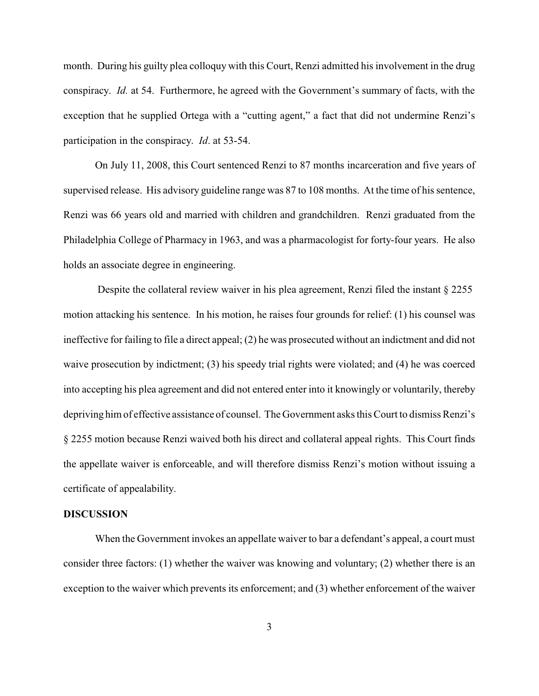month. During his guilty plea colloquy with this Court, Renzi admitted his involvement in the drug conspiracy. *Id.* at 54. Furthermore, he agreed with the Government's summary of facts, with the exception that he supplied Ortega with a "cutting agent," a fact that did not undermine Renzi's participation in the conspiracy. *Id*. at 53-54.

On July 11, 2008, this Court sentenced Renzi to 87 months incarceration and five years of supervised release. His advisory guideline range was 87 to 108 months. At the time of his sentence, Renzi was 66 years old and married with children and grandchildren. Renzi graduated from the Philadelphia College of Pharmacy in 1963, and was a pharmacologist for forty-four years. He also holds an associate degree in engineering.

 Despite the collateral review waiver in his plea agreement, Renzi filed the instant § 2255 motion attacking his sentence. In his motion, he raises four grounds for relief: (1) his counsel was ineffective for failing to file a direct appeal; (2) he was prosecuted without an indictment and did not waive prosecution by indictment; (3) his speedy trial rights were violated; and (4) he was coerced into accepting his plea agreement and did not entered enter into it knowingly or voluntarily, thereby depriving him of effective assistance of counsel. The Government asks this Court to dismiss Renzi's § 2255 motion because Renzi waived both his direct and collateral appeal rights. This Court finds the appellate waiver is enforceable, and will therefore dismiss Renzi's motion without issuing a certificate of appealability.

### **DISCUSSION**

When the Government invokes an appellate waiver to bar a defendant's appeal, a court must consider three factors: (1) whether the waiver was knowing and voluntary; (2) whether there is an exception to the waiver which prevents its enforcement; and (3) whether enforcement of the waiver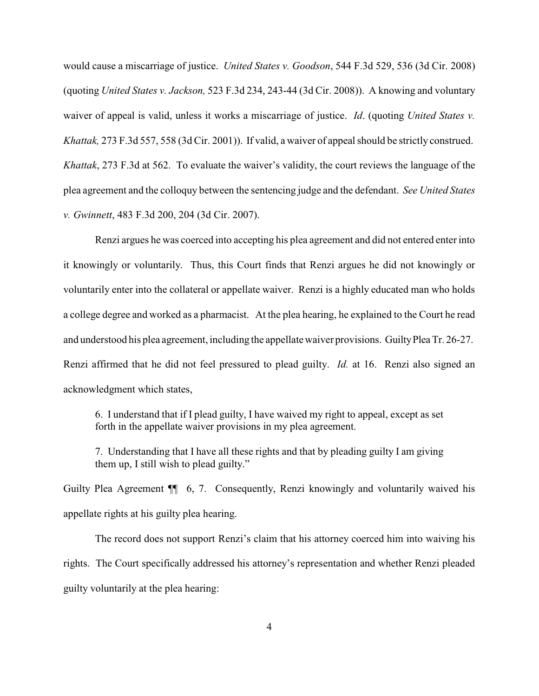would cause a miscarriage of justice. *United States v. Goodson*, 544 F.3d 529, 536 (3d Cir. 2008) (quoting *United States v. Jackson,* 523 F.3d 234, 243-44 (3d Cir. 2008)). A knowing and voluntary waiver of appeal is valid, unless it works a miscarriage of justice. *Id*. (quoting *United States v. Khattak,* 273 F.3d 557, 558 (3d Cir. 2001)). If valid, a waiver of appeal should be strictly construed. *Khattak*, 273 F.3d at 562. To evaluate the waiver's validity, the court reviews the language of the plea agreement and the colloquy between the sentencing judge and the defendant. *See United States v. Gwinnett*, 483 F.3d 200, 204 (3d Cir. 2007).

Renzi argues he was coerced into accepting his plea agreement and did not entered enterinto it knowingly or voluntarily. Thus, this Court finds that Renzi argues he did not knowingly or voluntarily enter into the collateral or appellate waiver. Renzi is a highly educated man who holds a college degree and worked as a pharmacist. At the plea hearing, he explained to the Court he read and understood his plea agreement, including the appellatewaiver provisions. GuiltyPlea Tr. 26-27. Renzi affirmed that he did not feel pressured to plead guilty. *Id.* at 16. Renzi also signed an acknowledgment which states,

6. I understand that if I plead guilty, I have waived my right to appeal, except as set forth in the appellate waiver provisions in my plea agreement.

7. Understanding that I have all these rights and that by pleading guilty I am giving them up, I still wish to plead guilty."

Guilty Plea Agreement  $\P$  6, 7. Consequently, Renzi knowingly and voluntarily waived his appellate rights at his guilty plea hearing.

The record does not support Renzi's claim that his attorney coerced him into waiving his rights. The Court specifically addressed his attorney's representation and whether Renzi pleaded guilty voluntarily at the plea hearing: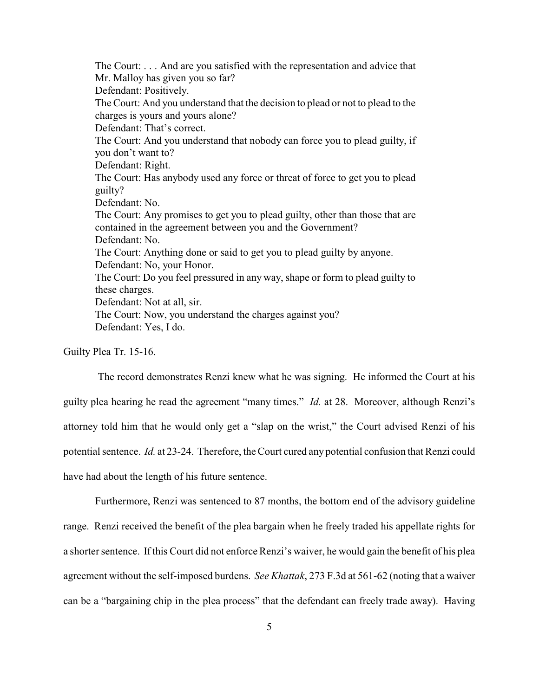The Court: . . . And are you satisfied with the representation and advice that Mr. Malloy has given you so far? Defendant: Positively. The Court: And you understand that the decision to plead or not to plead to the charges is yours and yours alone? Defendant: That's correct. The Court: And you understand that nobody can force you to plead guilty, if you don't want to? Defendant: Right. The Court: Has anybody used any force or threat of force to get you to plead guilty? Defendant: No. The Court: Any promises to get you to plead guilty, other than those that are contained in the agreement between you and the Government? Defendant: No. The Court: Anything done or said to get you to plead guilty by anyone. Defendant: No, your Honor. The Court: Do you feel pressured in any way, shape or form to plead guilty to these charges. Defendant: Not at all, sir. The Court: Now, you understand the charges against you? Defendant: Yes, I do.

Guilty Plea Tr. 15-16.

The record demonstrates Renzi knew what he was signing. He informed the Court at his guilty plea hearing he read the agreement "many times." *Id.* at 28. Moreover, although Renzi's attorney told him that he would only get a "slap on the wrist," the Court advised Renzi of his potential sentence. *Id.* at 23-24. Therefore, the Court cured any potential confusion that Renzi could have had about the length of his future sentence.

Furthermore, Renzi was sentenced to 87 months, the bottom end of the advisory guideline range. Renzi received the benefit of the plea bargain when he freely traded his appellate rights for a shorter sentence. If this Court did not enforce Renzi's waiver, he would gain the benefit of his plea agreement without the self-imposed burdens. *See Khattak*, 273 F.3d at 561-62 (noting that a waiver can be a "bargaining chip in the plea process" that the defendant can freely trade away). Having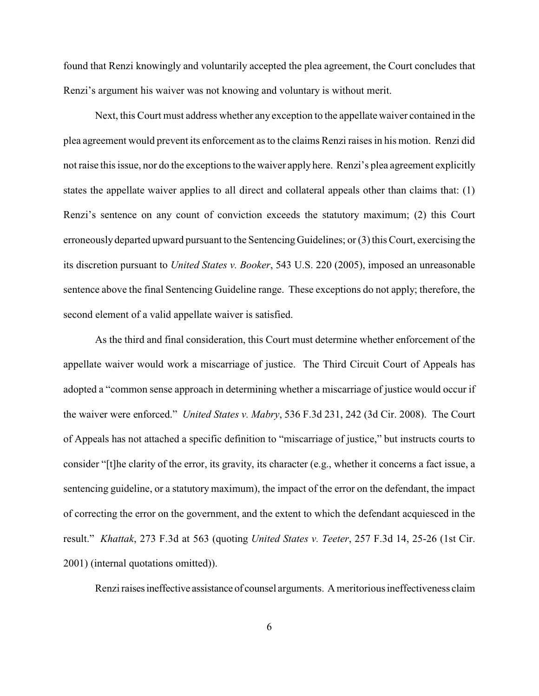found that Renzi knowingly and voluntarily accepted the plea agreement, the Court concludes that Renzi's argument his waiver was not knowing and voluntary is without merit.

Next, this Court must address whether any exception to the appellate waiver contained in the plea agreement would prevent its enforcement as to the claims Renzi raises in his motion. Renzi did not raise this issue, nor do the exceptions to the waiver apply here. Renzi's plea agreement explicitly states the appellate waiver applies to all direct and collateral appeals other than claims that: (1) Renzi's sentence on any count of conviction exceeds the statutory maximum; (2) this Court erroneously departed upward pursuant to the Sentencing Guidelines; or (3) this Court, exercising the its discretion pursuant to *United States v. Booker*, 543 U.S. 220 (2005), imposed an unreasonable sentence above the final Sentencing Guideline range. These exceptions do not apply; therefore, the second element of a valid appellate waiver is satisfied.

As the third and final consideration, this Court must determine whether enforcement of the appellate waiver would work a miscarriage of justice. The Third Circuit Court of Appeals has adopted a "common sense approach in determining whether a miscarriage of justice would occur if the waiver were enforced." *United States v. Mabry*, 536 F.3d 231, 242 (3d Cir. 2008). The Court of Appeals has not attached a specific definition to "miscarriage of justice," but instructs courts to consider "[t]he clarity of the error, its gravity, its character (e.g., whether it concerns a fact issue, a sentencing guideline, or a statutory maximum), the impact of the error on the defendant, the impact of correcting the error on the government, and the extent to which the defendant acquiesced in the result." *Khattak*, 273 F.3d at 563 (quoting *United States v. Teeter*, 257 F.3d 14, 25-26 (1st Cir. 2001) (internal quotations omitted)).

Renzi raises ineffective assistance of counsel arguments. A meritorious ineffectiveness claim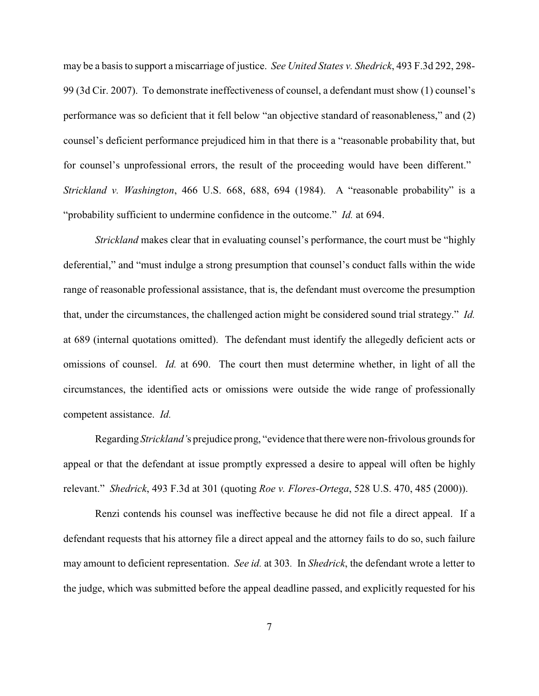may be a basis to support a miscarriage of justice. *See United States v. Shedrick*, 493 F.3d 292, 298- 99 (3d Cir. 2007). To demonstrate ineffectiveness of counsel, a defendant must show (1) counsel's performance was so deficient that it fell below "an objective standard of reasonableness," and (2) counsel's deficient performance prejudiced him in that there is a "reasonable probability that, but for counsel's unprofessional errors, the result of the proceeding would have been different." *Strickland v. Washington*, 466 U.S. 668, 688, 694 (1984). A "reasonable probability" is a "probability sufficient to undermine confidence in the outcome." *Id.* at 694.

*Strickland* makes clear that in evaluating counsel's performance, the court must be "highly" deferential," and "must indulge a strong presumption that counsel's conduct falls within the wide range of reasonable professional assistance, that is, the defendant must overcome the presumption that, under the circumstances, the challenged action might be considered sound trial strategy." *Id.* at 689 (internal quotations omitted). The defendant must identify the allegedly deficient acts or omissions of counsel. *Id.* at 690. The court then must determine whether, in light of all the circumstances, the identified acts or omissions were outside the wide range of professionally competent assistance. *Id.*

Regarding *Strickland'*s prejudice prong, "evidence that therewere non-frivolous grounds for appeal or that the defendant at issue promptly expressed a desire to appeal will often be highly relevant." *Shedrick*, 493 F.3d at 301 (quoting *Roe v. Flores-Ortega*, 528 U.S. 470, 485 (2000)).

Renzi contends his counsel was ineffective because he did not file a direct appeal. If a defendant requests that his attorney file a direct appeal and the attorney fails to do so, such failure may amount to deficient representation. *See id.* at 303*.* In *Shedrick*, the defendant wrote a letter to the judge, which was submitted before the appeal deadline passed, and explicitly requested for his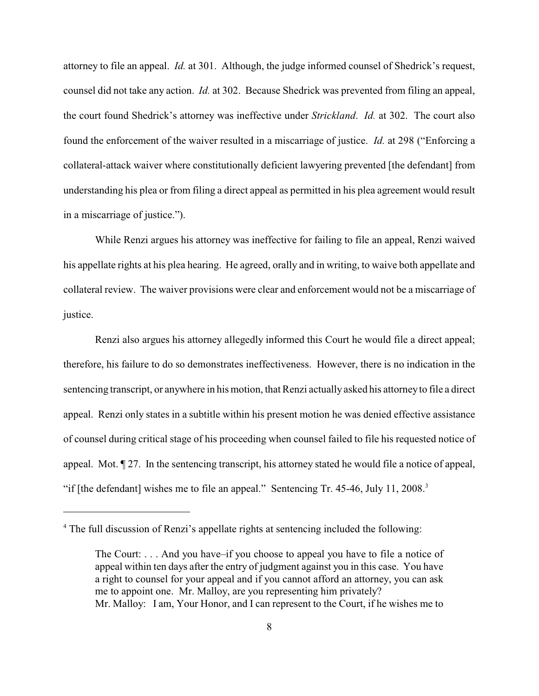attorney to file an appeal. *Id.* at 301. Although, the judge informed counsel of Shedrick's request, counsel did not take any action. *Id.* at 302. Because Shedrick was prevented from filing an appeal, the court found Shedrick's attorney was ineffective under *Strickland*. *Id.* at 302. The court also found the enforcement of the waiver resulted in a miscarriage of justice. *Id.* at 298 ("Enforcing a collateral-attack waiver where constitutionally deficient lawyering prevented [the defendant] from understanding his plea or from filing a direct appeal as permitted in his plea agreement would result in a miscarriage of justice.").

While Renzi argues his attorney was ineffective for failing to file an appeal, Renzi waived his appellate rights at his plea hearing. He agreed, orally and in writing, to waive both appellate and collateral review. The waiver provisions were clear and enforcement would not be a miscarriage of justice.

Renzi also argues his attorney allegedly informed this Court he would file a direct appeal; therefore, his failure to do so demonstrates ineffectiveness. However, there is no indication in the sentencing transcript, or anywhere in his motion, that Renzi actually asked his attorneyto file a direct appeal. Renzi only states in a subtitle within his present motion he was denied effective assistance of counsel during critical stage of his proceeding when counsel failed to file his requested notice of appeal. Mot. ¶ 27. In the sentencing transcript, his attorney stated he would file a notice of appeal, "if [the defendant] wishes me to file an appeal." Sentencing Tr.  $45-46$ , July  $11$ ,  $2008$ .<sup>3</sup>

<sup>&</sup>lt;sup>4</sup> The full discussion of Renzi's appellate rights at sentencing included the following:

The Court: . . . And you have–if you choose to appeal you have to file a notice of appeal within ten days after the entry of judgment against you in this case. You have a right to counsel for your appeal and if you cannot afford an attorney, you can ask me to appoint one. Mr. Malloy, are you representing him privately? Mr. Malloy: I am, Your Honor, and I can represent to the Court, if he wishes me to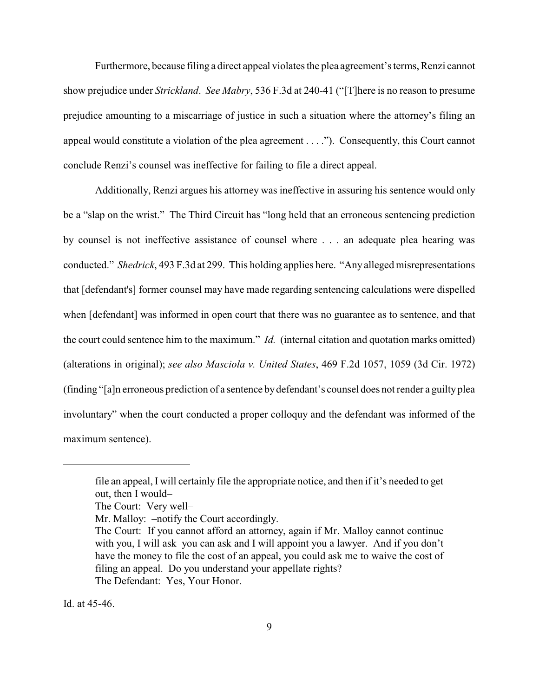Furthermore, because filing a direct appeal violates the plea agreement's terms, Renzi cannot show prejudice under *Strickland*. *See Mabry*, 536 F.3d at 240-41 ("[T]here is no reason to presume prejudice amounting to a miscarriage of justice in such a situation where the attorney's filing an appeal would constitute a violation of the plea agreement . . . ."). Consequently, this Court cannot conclude Renzi's counsel was ineffective for failing to file a direct appeal.

Additionally, Renzi argues his attorney was ineffective in assuring his sentence would only be a "slap on the wrist." The Third Circuit has "long held that an erroneous sentencing prediction by counsel is not ineffective assistance of counsel where . . . an adequate plea hearing was conducted." *Shedrick*, 493 F.3d at 299. This holding applies here. "Any alleged misrepresentations that [defendant's] former counsel may have made regarding sentencing calculations were dispelled when [defendant] was informed in open court that there was no guarantee as to sentence, and that the court could sentence him to the maximum." *Id.* (internal citation and quotation marks omitted) (alterations in original); *see also Masciola v. United States*, 469 F.2d 1057, 1059 (3d Cir. 1972) (finding "[a]n erroneous prediction of a sentence bydefendant's counsel does not render a guilty plea involuntary" when the court conducted a proper colloquy and the defendant was informed of the maximum sentence).

Id. at 45-46.

file an appeal, I will certainly file the appropriate notice, and then if it's needed to get out, then I would–

The Court: Very well–

Mr. Malloy: –notify the Court accordingly.

The Court: If you cannot afford an attorney, again if Mr. Malloy cannot continue with you, I will ask–you can ask and I will appoint you a lawyer. And if you don't have the money to file the cost of an appeal, you could ask me to waive the cost of filing an appeal. Do you understand your appellate rights? The Defendant: Yes, Your Honor.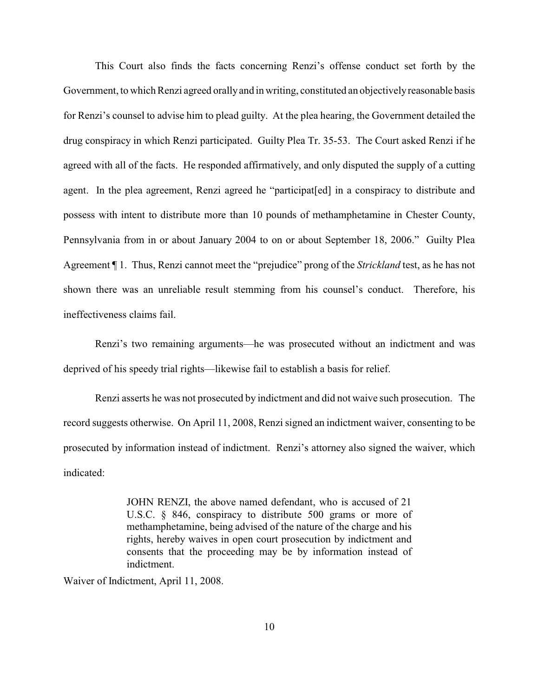This Court also finds the facts concerning Renzi's offense conduct set forth by the Government, to which Renzi agreed orallyand in writing, constituted an objectivelyreasonable basis for Renzi's counsel to advise him to plead guilty. At the plea hearing, the Government detailed the drug conspiracy in which Renzi participated. Guilty Plea Tr. 35-53. The Court asked Renzi if he agreed with all of the facts. He responded affirmatively, and only disputed the supply of a cutting agent. In the plea agreement, Renzi agreed he "participat[ed] in a conspiracy to distribute and possess with intent to distribute more than 10 pounds of methamphetamine in Chester County, Pennsylvania from in or about January 2004 to on or about September 18, 2006." Guilty Plea Agreement ¶ 1. Thus, Renzi cannot meet the "prejudice" prong of the *Strickland* test, as he has not shown there was an unreliable result stemming from his counsel's conduct. Therefore, his ineffectiveness claims fail.

Renzi's two remaining arguments—he was prosecuted without an indictment and was deprived of his speedy trial rights—likewise fail to establish a basis for relief.

Renzi asserts he was not prosecuted by indictment and did not waive such prosecution. The record suggests otherwise. On April 11, 2008, Renzi signed an indictment waiver, consenting to be prosecuted by information instead of indictment. Renzi's attorney also signed the waiver, which indicated:

> JOHN RENZI, the above named defendant, who is accused of 21 U.S.C. § 846, conspiracy to distribute 500 grams or more of methamphetamine, being advised of the nature of the charge and his rights, hereby waives in open court prosecution by indictment and consents that the proceeding may be by information instead of indictment.

Waiver of Indictment, April 11, 2008.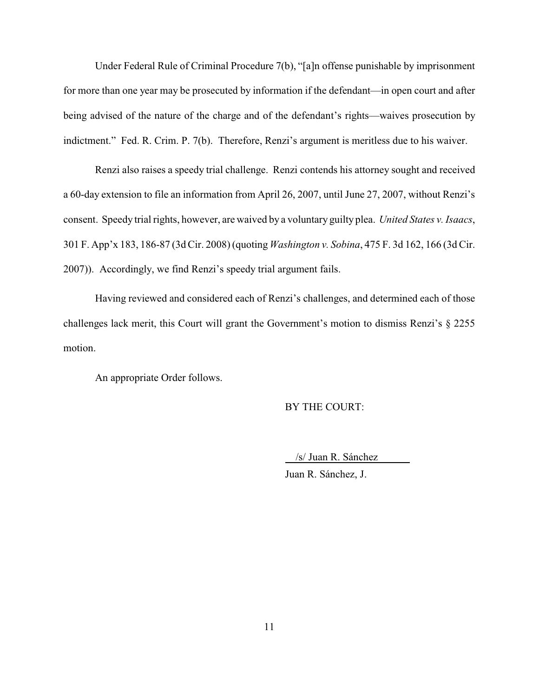Under Federal Rule of Criminal Procedure 7(b), "[a]n offense punishable by imprisonment for more than one year may be prosecuted by information if the defendant—in open court and after being advised of the nature of the charge and of the defendant's rights—waives prosecution by indictment." Fed. R. Crim. P. 7(b). Therefore, Renzi's argument is meritless due to his waiver.

Renzi also raises a speedy trial challenge. Renzi contends his attorney sought and received a 60-day extension to file an information from April 26, 2007, until June 27, 2007, without Renzi's consent. Speedy trial rights, however, are waived by a voluntary guilty plea. *United States v. Isaacs*, 301 F. App'x 183, 186-87 (3d Cir. 2008) (quoting *Washington v. Sobina*, 475 F. 3d 162, 166 (3d Cir. 2007)). Accordingly, we find Renzi's speedy trial argument fails.

Having reviewed and considered each of Renzi's challenges, and determined each of those challenges lack merit, this Court will grant the Government's motion to dismiss Renzi's § 2255 motion.

An appropriate Order follows.

BY THE COURT:

 /s/ Juan R. Sánchez Juan R. Sánchez, J.